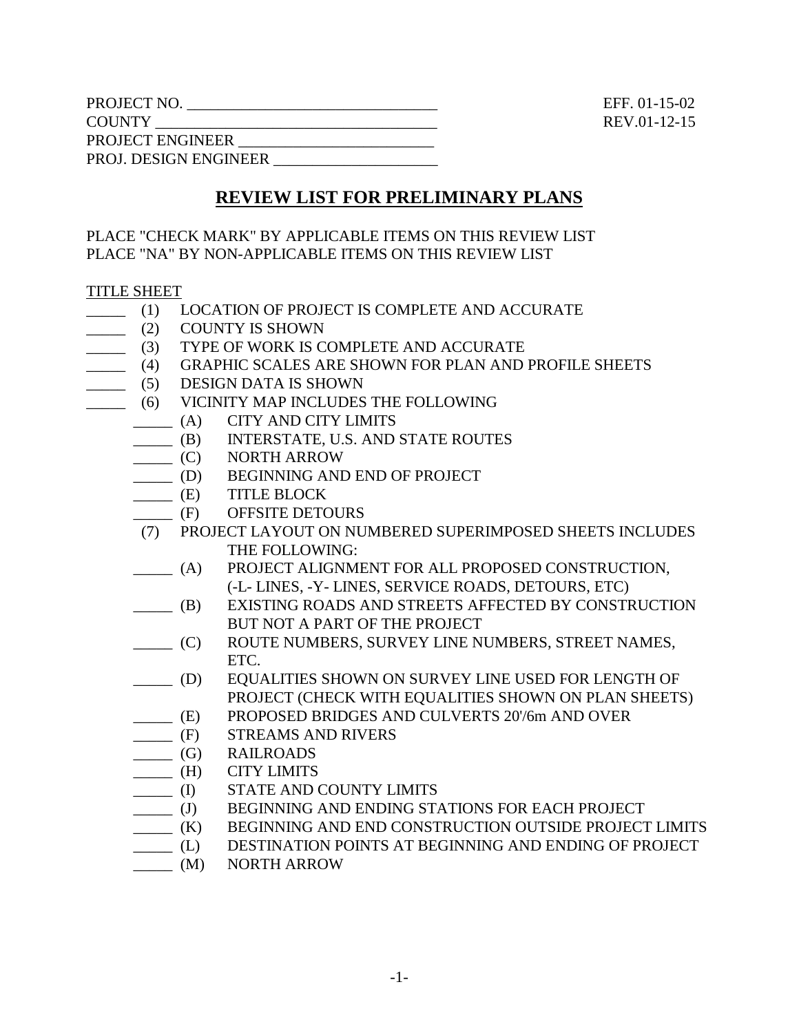| PROJECT NO.                  |
|------------------------------|
| <b>COUNTY</b>                |
| PROJECT ENGINEER             |
| <b>PROJ. DESIGN ENGINEER</b> |

 $EFF. 01-15-02$ REV.01-12-15

# **REVIEW LIST FOR PRELIMINARY PLANS**

PLACE "CHECK MARK" BY APPLICABLE ITEMS ON THIS REVIEW LIST PLACE "NA" BY NON-APPLICABLE ITEMS ON THIS REVIEW LIST

#### TITLE SHEET

- \_\_\_\_\_ (1) LOCATION OF PROJECT IS COMPLETE AND ACCURATE
- \_\_\_\_\_ (2) COUNTY IS SHOWN
- \_\_\_\_\_ (3) TYPE OF WORK IS COMPLETE AND ACCURATE
- \_\_\_\_\_ (4) GRAPHIC SCALES ARE SHOWN FOR PLAN AND PROFILE SHEETS
- \_\_\_\_\_ (5) DESIGN DATA IS SHOWN
- \_\_\_\_\_ (6) VICINITY MAP INCLUDES THE FOLLOWING
	- \_\_\_\_\_ (A) CITY AND CITY LIMITS
	- \_\_\_\_\_ (B) INTERSTATE, U.S. AND STATE ROUTES
	- \_\_\_\_\_ (C) NORTH ARROW
	- \_\_\_\_\_ (D) BEGINNING AND END OF PROJECT
	- \_\_\_\_\_ (E) TITLE BLOCK
	- \_\_\_\_\_ (F) OFFSITE DETOURS
	- (7) PROJECT LAYOUT ON NUMBERED SUPERIMPOSED SHEETS INCLUDES THE FOLLOWING:
	- \_\_\_\_\_ (A) PROJECT ALIGNMENT FOR ALL PROPOSED CONSTRUCTION, (-L- LINES, -Y- LINES, SERVICE ROADS, DETOURS, ETC)
	- \_\_\_\_\_ (B) EXISTING ROADS AND STREETS AFFECTED BY CONSTRUCTION BUT NOT A PART OF THE PROJECT
	- \_\_\_\_\_ (C) ROUTE NUMBERS, SURVEY LINE NUMBERS, STREET NAMES, ETC.
	- \_\_\_\_\_ (D) EQUALITIES SHOWN ON SURVEY LINE USED FOR LENGTH OF PROJECT (CHECK WITH EQUALITIES SHOWN ON PLAN SHEETS)
	- (E) PROPOSED BRIDGES AND CULVERTS 20'/6m AND OVER (F) STREAMS AND RIVERS
	- STREAMS AND RIVERS
	- \_\_\_\_\_ (G) RAILROADS
	- \_\_\_\_\_ (H) CITY LIMITS
	- \_\_\_\_\_ (I) STATE AND COUNTY LIMITS
	- \_\_\_\_\_ (J) BEGINNING AND ENDING STATIONS FOR EACH PROJECT
	- \_\_\_\_\_ (K) BEGINNING AND END CONSTRUCTION OUTSIDE PROJECT LIMITS
	- \_\_\_\_\_ (L) DESTINATION POINTS AT BEGINNING AND ENDING OF PROJECT
	- \_\_\_\_\_ (M) NORTH ARROW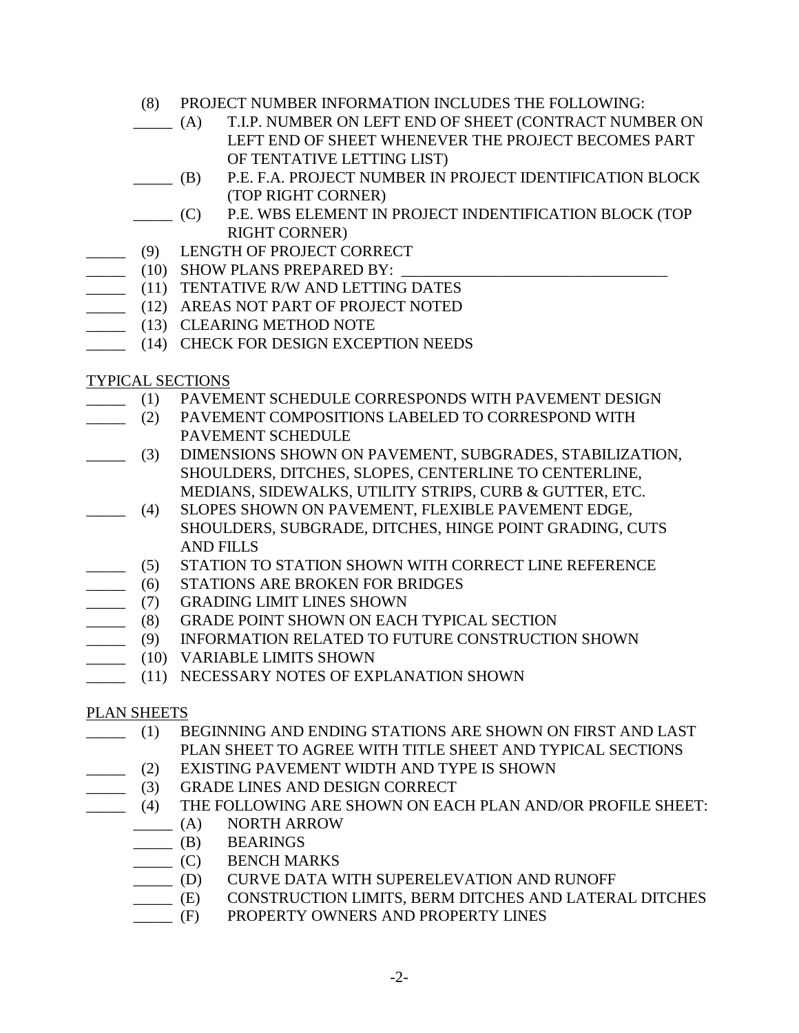- (8) PROJECT NUMBER INFORMATION INCLUDES THE FOLLOWING:
- \_\_\_\_\_ (A) T.I.P. NUMBER ON LEFT END OF SHEET (CONTRACT NUMBER ON LEFT END OF SHEET WHENEVER THE PROJECT BECOMES PART OF TENTATIVE LETTING LIST)
- \_\_\_\_\_ (B) P.E. F.A. PROJECT NUMBER IN PROJECT IDENTIFICATION BLOCK (TOP RIGHT CORNER)
- \_\_\_\_\_ (C) P.E. WBS ELEMENT IN PROJECT INDENTIFICATION BLOCK (TOP RIGHT CORNER)
- \_\_\_\_\_ (9) LENGTH OF PROJECT CORRECT
- $\frac{10}{2}$  (10) SHOW PLANS PREPARED BY:
- \_\_\_\_\_ (11) TENTATIVE R/W AND LETTING DATES
- \_\_\_\_\_ (12) AREAS NOT PART OF PROJECT NOTED
- \_\_\_\_\_ (13) CLEARING METHOD NOTE
- \_\_\_\_\_ (14) CHECK FOR DESIGN EXCEPTION NEEDS

#### TYPICAL SECTIONS

- \_\_\_\_\_ (1) PAVEMENT SCHEDULE CORRESPONDS WITH PAVEMENT DESIGN
	- (2) PAVEMENT COMPOSITIONS LABELED TO CORRESPOND WITH PAVEMENT SCHEDULE
- \_\_\_\_\_ (3) DIMENSIONS SHOWN ON PAVEMENT, SUBGRADES, STABILIZATION, SHOULDERS, DITCHES, SLOPES, CENTERLINE TO CENTERLINE, MEDIANS, SIDEWALKS, UTILITY STRIPS, CURB & GUTTER, ETC.
- \_\_\_\_\_ (4) SLOPES SHOWN ON PAVEMENT, FLEXIBLE PAVEMENT EDGE, SHOULDERS, SUBGRADE, DITCHES, HINGE POINT GRADING, CUTS AND FILLS
- \_\_\_\_\_ (5) STATION TO STATION SHOWN WITH CORRECT LINE REFERENCE
- \_\_\_\_\_ (6) STATIONS ARE BROKEN FOR BRIDGES
- \_\_\_\_\_ (7) GRADING LIMIT LINES SHOWN
- \_\_\_\_\_ (8) GRADE POINT SHOWN ON EACH TYPICAL SECTION
- \_\_\_\_\_ (9) INFORMATION RELATED TO FUTURE CONSTRUCTION SHOWN
- \_\_\_\_\_\_ (10) VARIABLE LIMITS SHOWN
- \_\_\_\_\_ (11) NECESSARY NOTES OF EXPLANATION SHOWN

## PLAN SHEETS

- \_\_\_\_\_ (1) BEGINNING AND ENDING STATIONS ARE SHOWN ON FIRST AND LAST PLAN SHEET TO AGREE WITH TITLE SHEET AND TYPICAL SECTIONS
- \_\_\_\_\_ (2) EXISTING PAVEMENT WIDTH AND TYPE IS SHOWN
- \_\_\_\_\_ (3) GRADE LINES AND DESIGN CORRECT
- \_\_\_\_\_ (4) THE FOLLOWING ARE SHOWN ON EACH PLAN AND/OR PROFILE SHEET:
	- \_\_\_\_\_ (A) NORTH ARROW
	- \_\_\_\_\_ (B) BEARINGS
	- \_\_\_\_\_ (C) BENCH MARKS
	- \_\_\_\_\_ (D) CURVE DATA WITH SUPERELEVATION AND RUNOFF
	- \_\_\_\_\_ (E) CONSTRUCTION LIMITS, BERM DITCHES AND LATERAL DITCHES
	- \_\_\_\_\_ (F) PROPERTY OWNERS AND PROPERTY LINES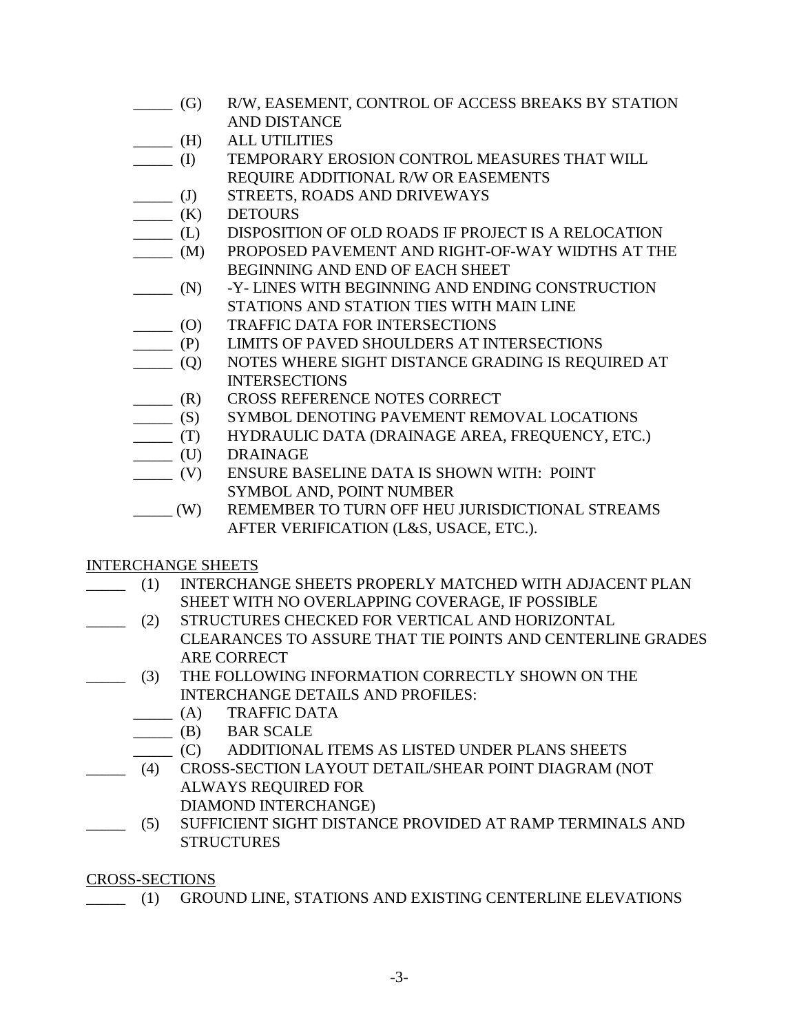- \_\_\_\_\_ (G) R/W, EASEMENT, CONTROL OF ACCESS BREAKS BY STATION AND DISTANCE
- \_\_\_\_\_ (H) ALL UTILITIES
- \_\_\_\_\_ (I) TEMPORARY EROSION CONTROL MEASURES THAT WILL REQUIRE ADDITIONAL R/W OR EASEMENTS
- \_\_\_\_\_ (J) STREETS, ROADS AND DRIVEWAYS
- $\qquad \qquad$  (K) DETOURS
- \_\_\_\_\_ (L) DISPOSITION OF OLD ROADS IF PROJECT IS A RELOCATION
- \_\_\_\_\_ (M) PROPOSED PAVEMENT AND RIGHT-OF-WAY WIDTHS AT THE BEGINNING AND END OF EACH SHEET
- \_\_\_\_\_ (N) -Y- LINES WITH BEGINNING AND ENDING CONSTRUCTION STATIONS AND STATION TIES WITH MAIN LINE
- \_\_\_\_\_ (O) TRAFFIC DATA FOR INTERSECTIONS
- \_\_\_\_\_ (P) LIMITS OF PAVED SHOULDERS AT INTERSECTIONS
- \_\_\_\_\_ (Q) NOTES WHERE SIGHT DISTANCE GRADING IS REQUIRED AT **INTERSECTIONS**
- \_\_\_\_\_ (R) CROSS REFERENCE NOTES CORRECT
- \_\_\_\_\_ (S) SYMBOL DENOTING PAVEMENT REMOVAL LOCATIONS
- \_\_\_\_\_ (T) HYDRAULIC DATA (DRAINAGE AREA, FREQUENCY, ETC.)
- \_\_\_\_\_ (U) DRAINAGE
- \_\_\_\_\_ (V) ENSURE BASELINE DATA IS SHOWN WITH: POINT SYMBOL AND, POINT NUMBER
- \_\_\_\_\_ (W) REMEMBER TO TURN OFF HEU JURISDICTIONAL STREAMS AFTER VERIFICATION (L&S, USACE, ETC.).

## INTERCHANGE SHEETS

- \_\_\_\_\_ (1) INTERCHANGE SHEETS PROPERLY MATCHED WITH ADJACENT PLAN SHEET WITH NO OVERLAPPING COVERAGE, IF POSSIBLE
- \_\_\_\_\_ (2) STRUCTURES CHECKED FOR VERTICAL AND HORIZONTAL CLEARANCES TO ASSURE THAT TIE POINTS AND CENTERLINE GRADES ARE CORRECT
- \_\_\_\_\_ (3) THE FOLLOWING INFORMATION CORRECTLY SHOWN ON THE INTERCHANGE DETAILS AND PROFILES:
	- \_\_\_\_\_ (A) TRAFFIC DATA
		- \_\_\_\_\_ (B) BAR SCALE
		- \_\_\_\_\_ (C) ADDITIONAL ITEMS AS LISTED UNDER PLANS SHEETS
- \_\_\_\_\_ (4) CROSS-SECTION LAYOUT DETAIL/SHEAR POINT DIAGRAM (NOT ALWAYS REQUIRED FOR DIAMOND INTERCHANGE)
- \_\_\_\_\_ (5) SUFFICIENT SIGHT DISTANCE PROVIDED AT RAMP TERMINALS AND **STRUCTURES**

CROSS-SECTIONS

\_\_\_\_\_ (1) GROUND LINE, STATIONS AND EXISTING CENTERLINE ELEVATIONS